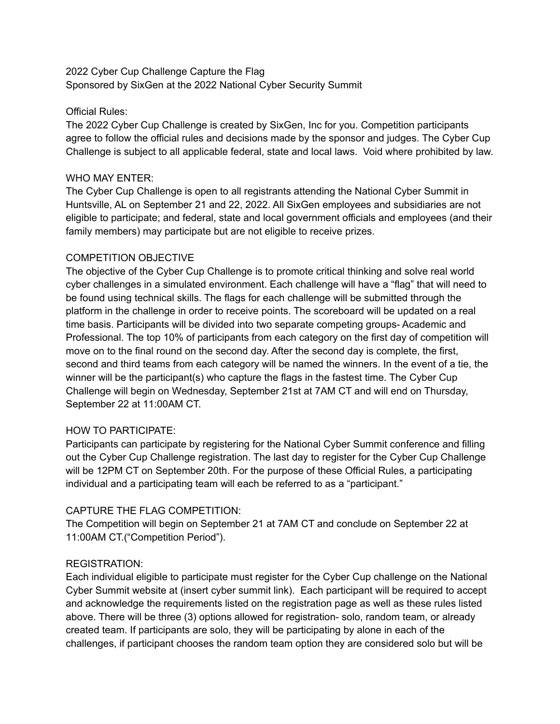## 2022 Cyber Cup Challenge Capture the Flag Sponsored by SixGen at the 2022 National Cyber Security Summit

## Official Rules:

The 2022 Cyber Cup Challenge is created by SixGen, Inc for you. Competition participants agree to follow the official rules and decisions made by the sponsor and judges. The Cyber Cup Challenge is subject to all applicable federal, state and local laws. Void where prohibited by law.

### WHO MAY ENTER:

The Cyber Cup Challenge is open to all registrants attending the National Cyber Summit in Huntsville, AL on September 21 and 22, 2022. All SixGen employees and subsidiaries are not eligible to participate; and federal, state and local government officials and employees (and their family members) may participate but are not eligible to receive prizes.

## COMPETITION OBJECTIVE

The objective of the Cyber Cup Challenge is to promote critical thinking and solve real world cyber challenges in a simulated environment. Each challenge will have a "flag" that will need to be found using technical skills. The flags for each challenge will be submitted through the platform in the challenge in order to receive points. The scoreboard will be updated on a real time basis. Participants will be divided into two separate competing groups- Academic and Professional. The top 10% of participants from each category on the first day of competition will move on to the final round on the second day. After the second day is complete, the first, second and third teams from each category will be named the winners. In the event of a tie, the winner will be the participant(s) who capture the flags in the fastest time. The Cyber Cup Challenge will begin on Wednesday, September 21st at 7AM CT and will end on Thursday, September 22 at 11:00AM CT.

# HOW TO PARTICIPATE:

Participants can participate by registering for the National Cyber Summit conference and filling out the Cyber Cup Challenge registration. The last day to register for the Cyber Cup Challenge will be 12PM CT on September 20th. For the purpose of these Official Rules, a participating individual and a participating team will each be referred to as a "participant."

# CAPTURE THE FLAG COMPETITION:

The Competition will begin on September 21 at 7AM CT and conclude on September 22 at 11:00AM CT.("Competition Period").

### REGISTRATION:

Each individual eligible to participate must register for the Cyber Cup challenge on the National Cyber Summit website at (insert cyber summit link). Each participant will be required to accept and acknowledge the requirements listed on the registration page as well as these rules listed above. There will be three (3) options allowed for registration- solo, random team, or already created team. If participants are solo, they will be participating by alone in each of the challenges, if participant chooses the random team option they are considered solo but will be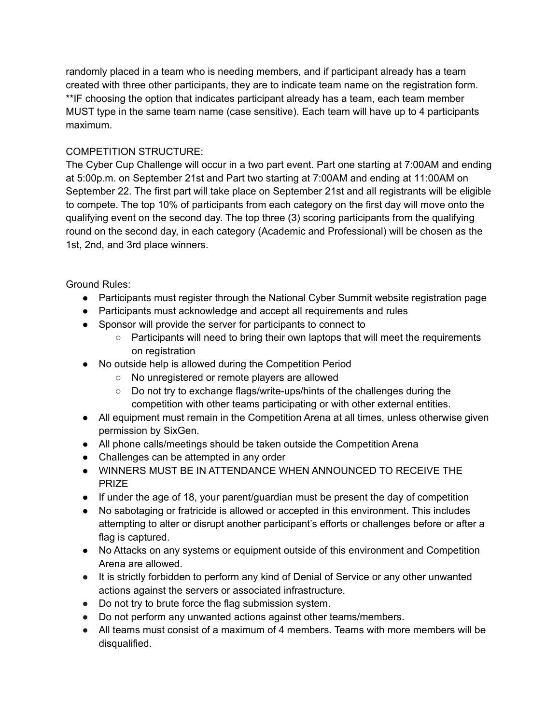randomly placed in a team who is needing members, and if participant already has a team created with three other participants, they are to indicate team name on the registration form. \*\*IF choosing the option that indicates participant already has a team, each team member MUST type in the same team name (case sensitive). Each team will have up to 4 participants maximum.

# COMPETITION STRUCTURE:

The Cyber Cup Challenge will occur in a two part event. Part one starting at 7:00AM and ending at 5:00p.m. on September 21st and Part two starting at 7:00AM and ending at 11:00AM on September 22. The first part will take place on September 21st and all registrants will be eligible to compete. The top 10% of participants from each category on the first day will move onto the qualifying event on the second day. The top three (3) scoring participants from the qualifying round on the second day, in each category (Academic and Professional) will be chosen as the 1st, 2nd, and 3rd place winners.

Ground Rules:

- Participants must register through the National Cyber Summit website registration page
- Participants must acknowledge and accept all requirements and rules
- Sponsor will provide the server for participants to connect to
	- Participants will need to bring their own laptops that will meet the requirements on registration
- No outside help is allowed during the Competition Period
	- No unregistered or remote players are allowed
	- Do not try to exchange flags/write-ups/hints of the challenges during the competition with other teams participating or with other external entities.
- All equipment must remain in the Competition Arena at all times, unless otherwise given permission by SixGen.
- All phone calls/meetings should be taken outside the Competition Arena
- Challenges can be attempted in any order
- WINNERS MUST BE IN ATTENDANCE WHEN ANNOUNCED TO RECEIVE THE PRIZE
- If under the age of 18, your parent/guardian must be present the day of competition
- No sabotaging or fratricide is allowed or accepted in this environment. This includes attempting to alter or disrupt another participant's efforts or challenges before or after a flag is captured.
- No Attacks on any systems or equipment outside of this environment and Competition Arena are allowed.
- It is strictly forbidden to perform any kind of Denial of Service or any other unwanted actions against the servers or associated infrastructure.
- Do not try to brute force the flag submission system.
- Do not perform any unwanted actions against other teams/members.
- All teams must consist of a maximum of 4 members. Teams with more members will be disqualified.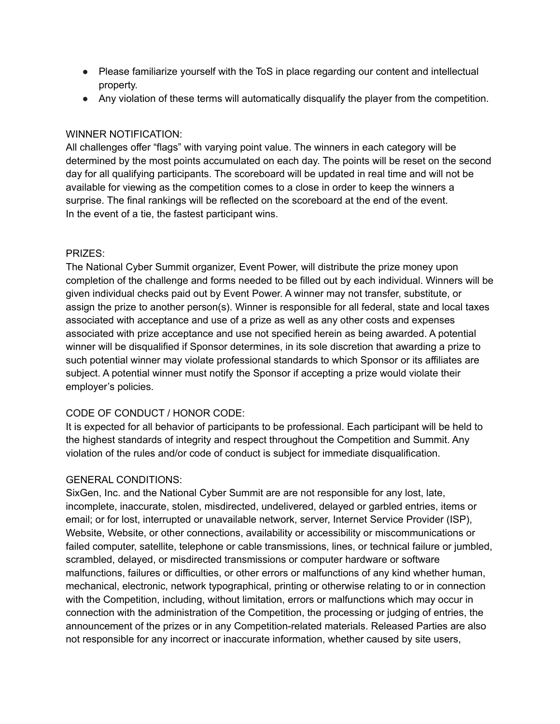- Please familiarize yourself with the ToS in place regarding our content and intellectual property.
- Any violation of these terms will automatically disqualify the player from the competition.

# WINNER NOTIFICATION:

All challenges offer "flags" with varying point value. The winners in each category will be determined by the most points accumulated on each day. The points will be reset on the second day for all qualifying participants. The scoreboard will be updated in real time and will not be available for viewing as the competition comes to a close in order to keep the winners a surprise. The final rankings will be reflected on the scoreboard at the end of the event. In the event of a tie, the fastest participant wins.

# PRIZES:

The National Cyber Summit organizer, Event Power, will distribute the prize money upon completion of the challenge and forms needed to be filled out by each individual. Winners will be given individual checks paid out by Event Power. A winner may not transfer, substitute, or assign the prize to another person(s). Winner is responsible for all federal, state and local taxes associated with acceptance and use of a prize as well as any other costs and expenses associated with prize acceptance and use not specified herein as being awarded. A potential winner will be disqualified if Sponsor determines, in its sole discretion that awarding a prize to such potential winner may violate professional standards to which Sponsor or its affiliates are subject. A potential winner must notify the Sponsor if accepting a prize would violate their employer's policies.

# CODE OF CONDUCT / HONOR CODE:

It is expected for all behavior of participants to be professional. Each participant will be held to the highest standards of integrity and respect throughout the Competition and Summit. Any violation of the rules and/or code of conduct is subject for immediate disqualification.

# GENERAL CONDITIONS:

SixGen, Inc. and the National Cyber Summit are are not responsible for any lost, late, incomplete, inaccurate, stolen, misdirected, undelivered, delayed or garbled entries, items or email; or for lost, interrupted or unavailable network, server, Internet Service Provider (ISP), Website, Website, or other connections, availability or accessibility or miscommunications or failed computer, satellite, telephone or cable transmissions, lines, or technical failure or jumbled, scrambled, delayed, or misdirected transmissions or computer hardware or software malfunctions, failures or difficulties, or other errors or malfunctions of any kind whether human, mechanical, electronic, network typographical, printing or otherwise relating to or in connection with the Competition, including, without limitation, errors or malfunctions which may occur in connection with the administration of the Competition, the processing or judging of entries, the announcement of the prizes or in any Competition-related materials. Released Parties are also not responsible for any incorrect or inaccurate information, whether caused by site users,